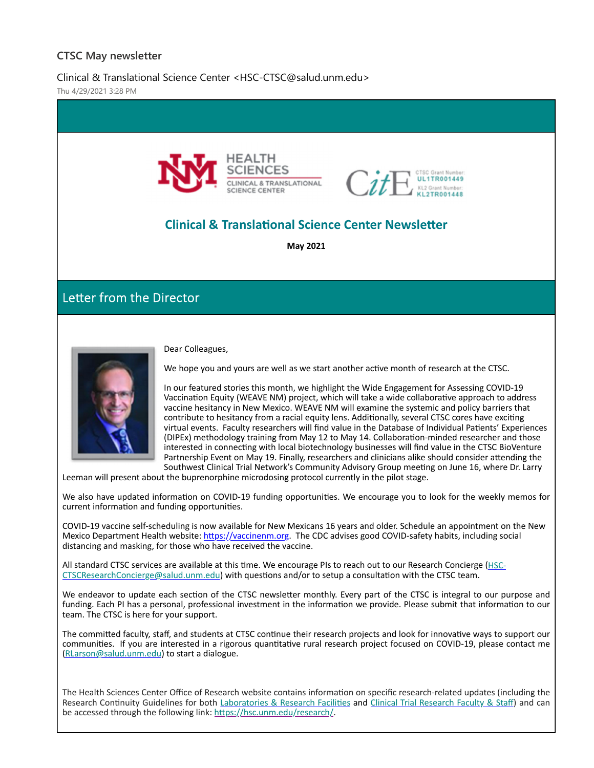### **CTSC May newsletter**

Clinical & Translational Science Center <HSC-CTSC@salud.unm.edu>

Thu 4/29/2021 3:28 PM





# **Clinical & TranslaƟonal Science Center NewsleƩer**

**May 2021**

Letter from the Director



Dear Colleagues,

We hope you and yours are well as we start another active month of research at the CTSC.

In our featured stories this month, we highlight the Wide Engagement for Assessing COVID‐19 Vaccination Equity (WEAVE NM) project, which will take a wide collaborative approach to address vaccine hesitancy in New Mexico. WEAVE NM will examine the systemic and policy barriers that contribute to hesitancy from a racial equity lens. Additionally, several CTSC cores have exciting virtual events. Faculty researchers will find value in the Database of Individual Patients' Experiences (DIPEx) methodology training from May 12 to May 14. Collaboration-minded researcher and those interested in connecting with local biotechnology businesses will find value in the CTSC BioVenture Partnership Event on May 19. Finally, researchers and clinicians alike should consider attending the Southwest Clinical Trial Network's Community Advisory Group meeting on June 16, where Dr. Larry

Leeman will present about the buprenorphine microdosing protocol currently in the pilot stage.

We also have updated information on COVID-19 funding opportunities. We encourage you to look for the weekly memos for current information and funding opportunities.

COVID‐19 vaccine self‐scheduling is now available for New Mexicans 16 years and older. Schedule an appointment on the New Mexico Department Health website: https://vaccinenm.org. The CDC advises good COVID-safety habits, including social distancing and masking, for those who have received the vaccine.

All standard CTSC services are available at this time. We encourage PIs to reach out to our Research Concierge (HSC-CTSCResearchConcierge@salud.unm.edu) with questions and/or to setup a consultation with the CTSC team.

We endeavor to update each section of the CTSC newsletter monthly. Every part of the CTSC is integral to our purpose and funding. Each PI has a personal, professional investment in the information we provide. Please submit that information to our team. The CTSC is here for your support.

The committed faculty, staff, and students at CTSC continue their research projects and look for innovative ways to support our communities. If you are interested in a rigorous quantitative rural research project focused on COVID-19, please contact me (RLarson@salud.unm.edu) to start a dialogue.

The Health Sciences Center Office of Research website contains information on specific research-related updates (including the Research Continuity Guidelines for both Laboratories & Research Facilities and Clinical Trial Research Faculty & Staff) and can be accessed through the following link: https://hsc.unm.edu/research/.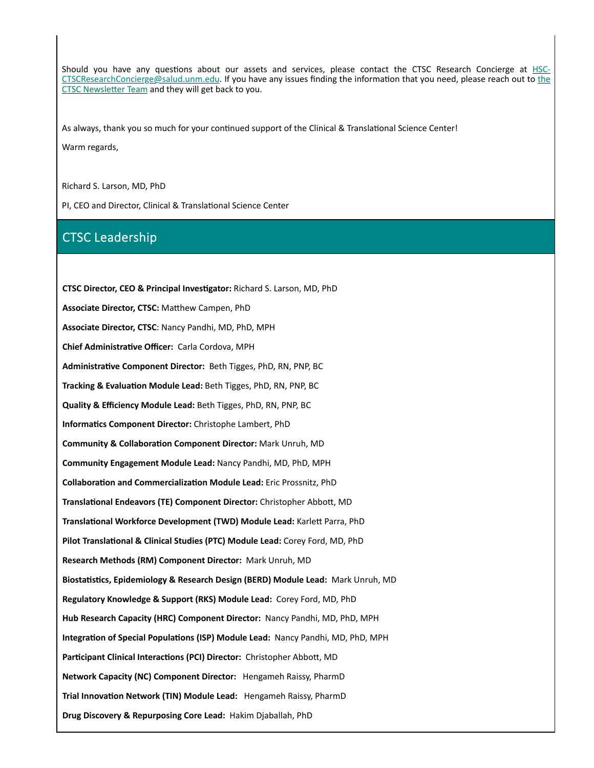Should you have any questions about our assets and services, please contact the CTSC Research Concierge at HSC-CTSCResearchConcierge@salud.unm.edu. If you have any issues finding the information that you need, please reach out to the CTSC Newsletter Team and they will get back to you.

As always, thank you so much for your continued support of the Clinical & Translational Science Center!

Warm regards,

Richard S. Larson, MD, PhD

PI, CEO and Director, Clinical & Translational Science Center

## CTSC Leadership

**CTSC Director, CEO & Principal InvesƟgator:** Richard S. Larson, MD, PhD **Associate Director, CTSC:** MaƩhew Campen, PhD **Associate Director, CTSC**: Nancy Pandhi, MD, PhD, MPH **Chief AdministraƟve Officer:** Carla Cordova, MPH **AdministraƟve Component Director:** Beth Tigges, PhD, RN, PNP, BC **Tracking & Evaluation Module Lead: Beth Tigges, PhD, RN, PNP, BC Quality & Efficiency Module Lead:** Beth Tigges, PhD, RN, PNP, BC **InformaƟcs Component Director:** Christophe Lambert, PhD **Community & CollaboraƟon Component Director:** Mark Unruh, MD **Community Engagement Module Lead:** Nancy Pandhi, MD, PhD, MPH **CollaboraƟon and CommercializaƟon Module Lead:** Eric Prossnitz, PhD **TranslaƟonal Endeavors (TE) Component Director:** Christopher AbboƩ, MD **TranslaƟonal Workforce Development (TWD) Module Lead:** KarleƩ Parra, PhD **Pilot TranslaƟonal & Clinical Studies (PTC) Module Lead:** Corey Ford, MD, PhD **Research Methods (RM) Component Director:** Mark Unruh, MD **BiostaƟsƟcs, Epidemiology & Research Design (BERD) Module Lead:** Mark Unruh, MD **Regulatory Knowledge & Support (RKS) Module Lead:** Corey Ford, MD, PhD **Hub Research Capacity (HRC) Component Director:** Nancy Pandhi, MD, PhD, MPH **IntegraƟon of Special PopulaƟons (ISP) Module Lead:** Nancy Pandhi, MD, PhD, MPH **Participant Clinical Interactions (PCI) Director:** Christopher Abbott, MD **Network Capacity (NC) Component Director:** Hengameh Raissy, PharmD **Trial Innovation Network (TIN) Module Lead:** Hengameh Raissy, PharmD **Drug Discovery & Repurposing Core Lead:** Hakim Djaballah, PhD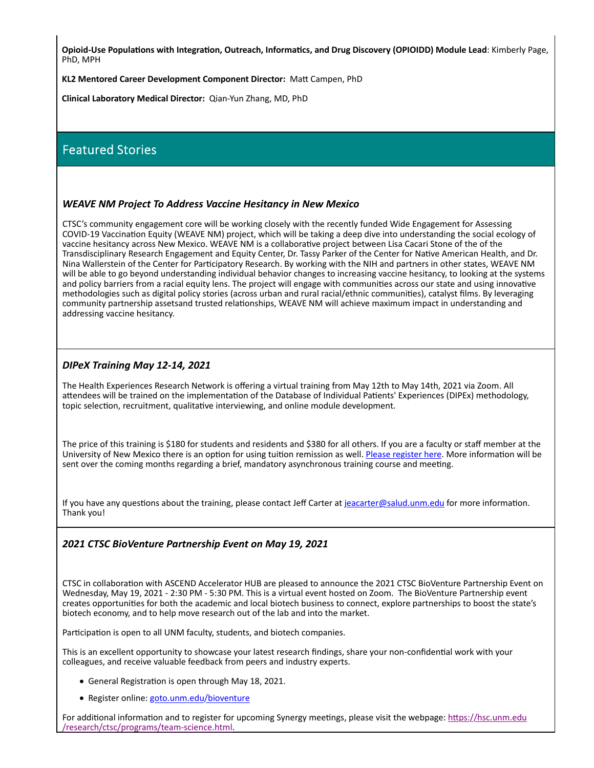Opioid-Use Populations with Integration, Outreach, Informatics, and Drug Discovery (OPIOIDD) Module Lead: Kimberly Page, PhD, MPH

**KL2 Mentored Career Development Component Director:** MaƩ Campen, PhD

**Clinical Laboratory Medical Director:** Qian‐Yun Zhang, MD, PhD

## Featured Stories

#### *WEAVE NM Project To Address Vaccine Hesitancy in New Mexico*

CTSC's community engagement core will be working closely with the recently funded Wide Engagement for Assessing COVID-19 Vaccination Equity (WEAVE NM) project, which will be taking a deep dive into understanding the social ecology of vaccine hesitancy across New Mexico. WEAVE NM is a collaborative project between Lisa Cacari Stone of the of the Transdisciplinary Research Engagement and Equity Center, Dr. Tassy Parker of the Center for NaƟve American Health, and Dr. Nina Wallerstein of the Center for Participatory Research. By working with the NIH and partners in other states, WEAVE NM will be able to go beyond understanding individual behavior changes to increasing vaccine hesitancy, to looking at the systems and policy barriers from a racial equity lens. The project will engage with communities across our state and using innovative methodologies such as digital policy stories (across urban and rural racial/ethnic communities), catalyst films. By leveraging community partnership assetsand trusted relationships, WEAVE NM will achieve maximum impact in understanding and addressing vaccine hesitancy.

#### *DIPeX Training May 12‐14, 2021*

The Health Experiences Research Network is offering a virtual training from May 12th to May 14th, 2021 via Zoom. All attendees will be trained on the implementation of the Database of Individual Patients' Experiences (DIPEx) methodology, topic selection, recruitment, qualitative interviewing, and online module development.

The price of this training is \$180 for students and residents and \$380 for all others. If you are a faculty or staff member at the University of New Mexico there is an option for using tuition remission as well. Please register here. More information will be sent over the coming months regarding a brief, mandatory asynchronous training course and meeting.

If you have any questions about the training, please contact Jeff Carter at jeacarter@salud.unm.edu for more information. Thank you!

#### *2021 CTSC BioVenture Partnership Event on May 19, 2021*

CTSC in collaboration with ASCEND Accelerator HUB are pleased to announce the 2021 CTSC BioVenture Partnership Event on Wednesday, May 19, 2021 ‐ 2:30 PM ‐ 5:30 PM. This is a virtual event hosted on Zoom. The BioVenture Partnership event creates opportunities for both the academic and local biotech business to connect, explore partnerships to boost the state's biotech economy, and to help move research out of the lab and into the market.

Participation is open to all UNM faculty, students, and biotech companies.

This is an excellent opportunity to showcase your latest research findings, share your non-confidential work with your colleagues, and receive valuable feedback from peers and industry experts.

- General Registration is open through May 18, 2021.
- Register online: goto.unm.edu/bioventure

For additional information and to register for upcoming Synergy meetings, please visit the webpage: https://hsc.unm.edu /research/ctsc/programs/team‐science.html.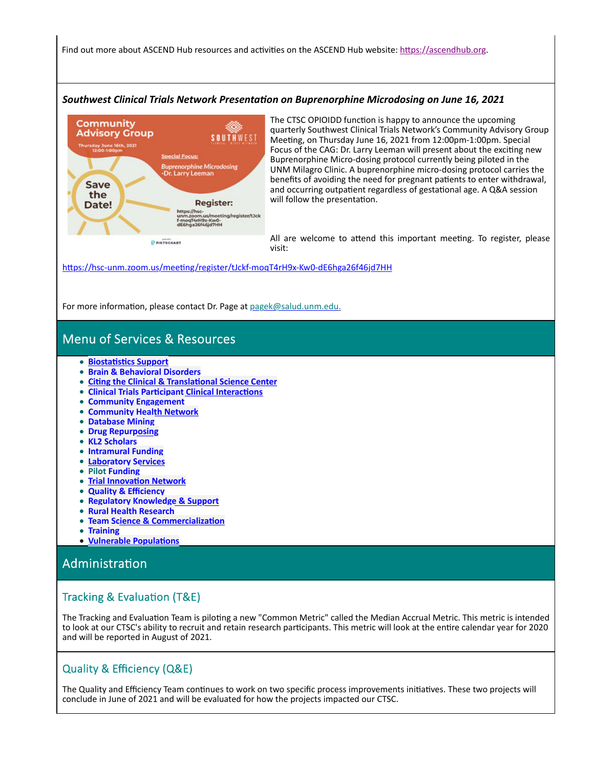Find out more about ASCEND Hub resources and activities on the ASCEND Hub website: https://ascendhub.org.

#### *Southwest Clinical Trials Network PresentaƟon on Buprenorphine Microdosing on June 16, 2021*



The CTSC OPIOIDD function is happy to announce the upcoming quarterly Southwest Clinical Trials Network's Community Advisory Group Meeting, on Thursday June 16, 2021 from 12:00pm-1:00pm. Special Focus of the CAG: Dr. Larry Leeman will present about the exciting new Buprenorphine Micro‐dosing protocol currently being piloted in the UNM Milagro Clinic. A buprenorphine micro‐dosing protocol carries the benefits of avoiding the need for pregnant patients to enter withdrawal, and occurring outpatient regardless of gestational age. A Q&A session will follow the presentation.

All are welcome to attend this important meeting. To register, please visit:

https://hsc-unm.zoom.us/meeting/register/tJckf-moqT4rH9x-Kw0-dE6hga26f46jd7HH

For more information, please contact Dr. Page at pagek@salud.unm.edu.

## Menu of Services & Resources

- **BiostaƟsƟcs Support**
- **Brain & Behavioral Disorders**
- **CiƟng the Clinical & TranslaƟonal Science Center**
- **Clinical Trials ParƟcipant Clinical InteracƟons**
- **Community Engagement**
- **Community Health Network**
- **Database Mining**
- **Drug Repurposing**
- **KL2 Scholars**
- **Intramural Funding**
- **Laboratory Services**
- **Pilot Funding**
- **Trial InnovaƟon Network**
- **Quality & Efficiency**  $\bullet$
- **Regulatory Knowledge & Support**  $\bullet$
- **Rural Health Research**  $\bullet$
- **Team Science & Commercialization**  $\bullet$
- **Training**  $\bullet$
- **Vulnerable PopulaƟons**

## AdministraƟon

### Tracking & Evaluation (T&E)

The Tracking and Evaluation Team is piloting a new "Common Metric" called the Median Accrual Metric. This metric is intended to look at our CTSC's ability to recruit and retain research participants. This metric will look at the entire calendar year for 2020 and will be reported in August of 2021.

### Quality & Efficiency (Q&E)

The Quality and Efficiency Team continues to work on two specific process improvements initiatives. These two projects will conclude in June of 2021 and will be evaluated for how the projects impacted our CTSC.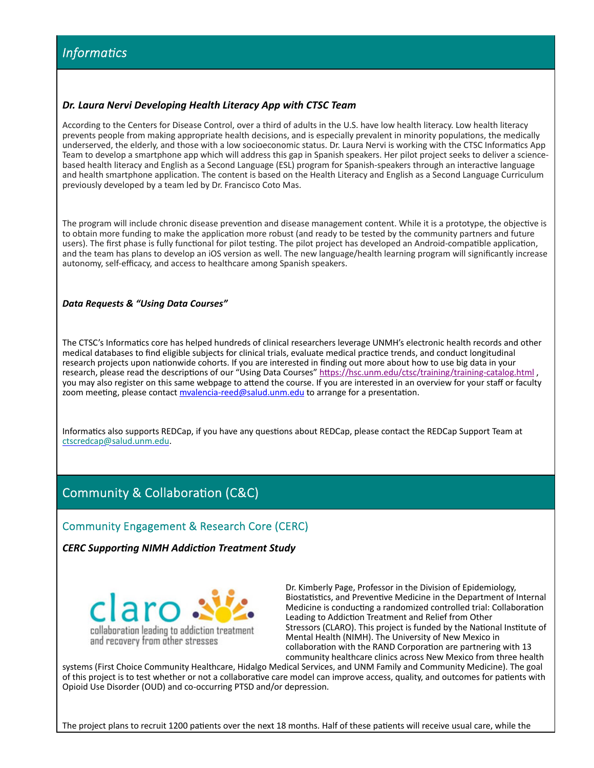#### *Dr. Laura Nervi Developing Health Literacy App with CTSC Team*

According to the Centers for Disease Control, over a third of adults in the U.S. have low health literacy. Low health literacy prevents people from making appropriate health decisions, and is especially prevalent in minority populations, the medically underserved, the elderly, and those with a low socioeconomic status. Dr. Laura Nervi is working with the CTSC Informatics App Team to develop a smartphone app which will address this gap in Spanish speakers. Her pilot project seeks to deliver a science‐ based health literacy and English as a Second Language (ESL) program for Spanish-speakers through an interactive language and health smartphone application. The content is based on the Health Literacy and English as a Second Language Curriculum previously developed by a team led by Dr. Francisco Coto Mas.

The program will include chronic disease prevention and disease management content. While it is a prototype, the objective is to obtain more funding to make the application more robust (and ready to be tested by the community partners and future users). The first phase is fully functional for pilot testing. The pilot project has developed an Android-compatible application, and the team has plans to develop an iOS version as well. The new language/health learning program will significantly increase autonomy, self‐efficacy, and access to healthcare among Spanish speakers.

#### *Data Requests & "Using Data Courses"*

The CTSC's Informatics core has helped hundreds of clinical researchers leverage UNMH's electronic health records and other medical databases to find eligible subjects for clinical trials, evaluate medical practice trends, and conduct longitudinal research projects upon nationwide cohorts. If you are interested in finding out more about how to use big data in your research, please read the descriptions of our "Using Data Courses" https://hsc.unm.edu/ctsc/training/training-catalog.html , you may also register on this same webpage to attend the course. If you are interested in an overview for your staff or faculty zoom meeting, please contact myalencia-reed@salud.unm.edu to arrange for a presentation.

Informatics also supports REDCap, if you have any questions about REDCap, please contact the REDCap Support Team at ctscredcap@salud.unm.edu.

## Community & Collaboration (C&C)

#### Community Engagement & Research Core (CERC)

*CERC SupporƟng NIMH AddicƟon Treatment Study*



Dr. Kimberly Page, Professor in the Division of Epidemiology, Biostatistics, and Preventive Medicine in the Department of Internal Medicine is conducting a randomized controlled trial: Collaboration Leading to Addiction Treatment and Relief from Other Stressors (CLARO). This project is funded by the National Institute of Mental Health (NIMH). The University of New Mexico in collaboration with the RAND Corporation are partnering with 13 community healthcare clinics across New Mexico from three health

systems (First Choice Community Healthcare, Hidalgo Medical Services, and UNM Family and Community Medicine). The goal of this project is to test whether or not a collaborative care model can improve access, quality, and outcomes for patients with Opioid Use Disorder (OUD) and co‐occurring PTSD and/or depression.

The project plans to recruit 1200 patients over the next 18 months. Half of these patients will receive usual care, while the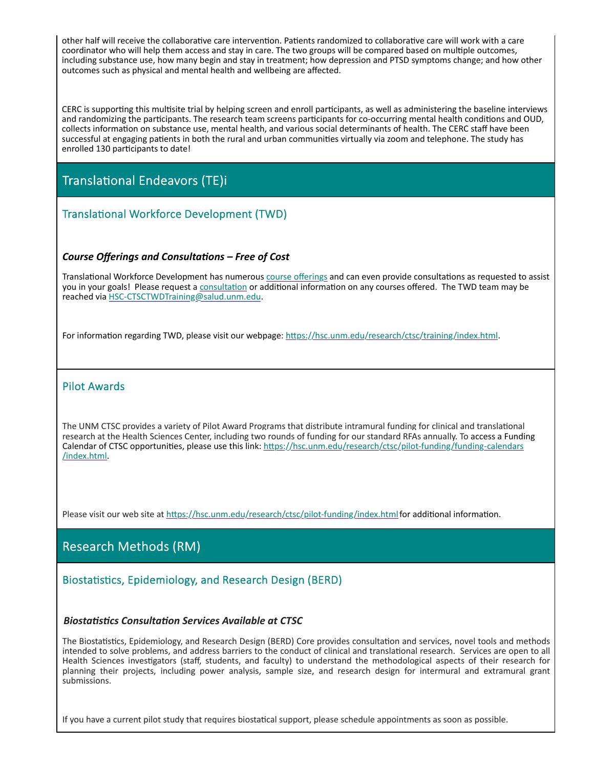other half will receive the collaborative care intervention. Patients randomized to collaborative care will work with a care coordinator who will help them access and stay in care. The two groups will be compared based on multiple outcomes, including substance use, how many begin and stay in treatment; how depression and PTSD symptoms change; and how other outcomes such as physical and mental health and wellbeing are affected.

CERC is supporting this multisite trial by helping screen and enroll participants, as well as administering the baseline interviews and randomizing the participants. The research team screens participants for co-occurring mental health conditions and OUD, collects information on substance use, mental health, and various social determinants of health. The CERC staff have been successful at engaging patients in both the rural and urban communities virtually via zoom and telephone. The study has enrolled 130 participants to date!

# Translational Endeavors (TE)i

## Translational Workforce Development (TWD)

#### *Course Offerings and ConsultaƟons – Free of Cost*

Translational Workforce Development has numerous course offerings and can even provide consultations as requested to assist you in your goals! Please request a consultation or additional information on any courses offered. The TWD team may be reached via HSC‐CTSCTWDTraining@salud.unm.edu.

For information regarding TWD, please visit our webpage: https://hsc.unm.edu/research/ctsc/training/index.html.

### Pilot Awards

The UNM CTSC provides a variety of Pilot Award Programs that distribute intramural funding for clinical and translational research at the Health Sciences Center, including two rounds of funding for our standard RFAs annually. To access a Funding Calendar of CTSC opportunities, please use this link: https://hsc.unm.edu/research/ctsc/pilot-funding/funding-calendars /index.html.

Please visit our web site at https://hsc.unm.edu/research/ctsc/pilot-funding/index.html for additional information.

## Research Methods (RM)

### Biostatistics, Epidemiology, and Research Design (BERD)

#### *BiostaƟsƟcs ConsultaƟon Services Available at CTSC*

The Biostatistics, Epidemiology, and Research Design (BERD) Core provides consultation and services, novel tools and methods intended to solve problems, and address barriers to the conduct of clinical and translational research. Services are open to all Health Sciences investigators (staff, students, and faculty) to understand the methodological aspects of their research for planning their projects, including power analysis, sample size, and research design for intermural and extramural grant submissions.

If you have a current pilot study that requires biostatical support, please schedule appointments as soon as possible.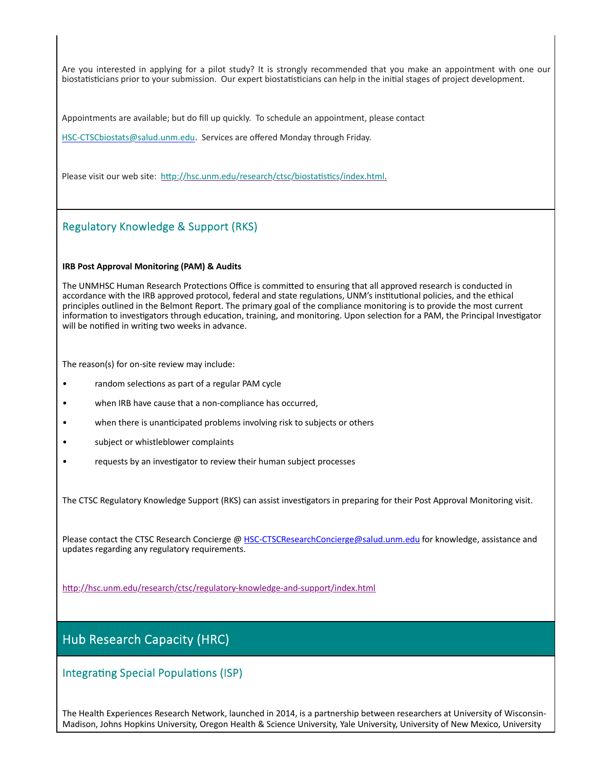Are you interested in applying for a pilot study? It is strongly recommended that you make an appointment with one our biostatisticians prior to your submission. Our expert biostatisticians can help in the initial stages of project development.

Appointments are available; but do fill up quickly. To schedule an appointment, please contact

HSC-CTSCbiostats@salud.unm.edu. Services are offered Monday through Friday.

Please visit our web site: http://hsc.unm.edu/research/ctsc/biostatistics/index.html.

### Regulatory Knowledge & Support (RKS)

#### **IRB Post Approval Monitoring (PAM) & Audits**

The UNMHSC Human Research Protections Office is committed to ensuring that all approved research is conducted in accordance with the IRB approved protocol, federal and state regulations, UNM's institutional policies, and the ethical principles outlined in the Belmont Report. The primary goal of the compliance monitoring is to provide the most current information to investigators through education, training, and monitoring. Upon selection for a PAM, the Principal Investigator will be notified in writing two weeks in advance.

The reason(s) for on-site review may include:

- random selections as part of a regular PAM cycle
- when IRB have cause that a non-compliance has occurred,
- when there is unanticipated problems involving risk to subjects or others
- subject or whistleblower complaints
- requests by an investigator to review their human subject processes

The CTSC Regulatory Knowledge Support (RKS) can assist investigators in preparing for their Post Approval Monitoring visit.

Please contact the CTSC Research Concierge @ HSC-CTSCResearchConcierge@salud.unm.edu for knowledge, assistance and updates regarding any regulatory requirements.

http://hsc.unm.edu/research/ctsc/regulatory-knowledge-and-support/index.html

## Hub Research Capacity (HRC)

Integrating Special Populations (ISP)

The Health Experiences Research Network, launched in 2014, is a partnership between researchers at University of Wisconsin‐ Madison, Johns Hopkins University, Oregon Health & Science University, Yale University, University of New Mexico, University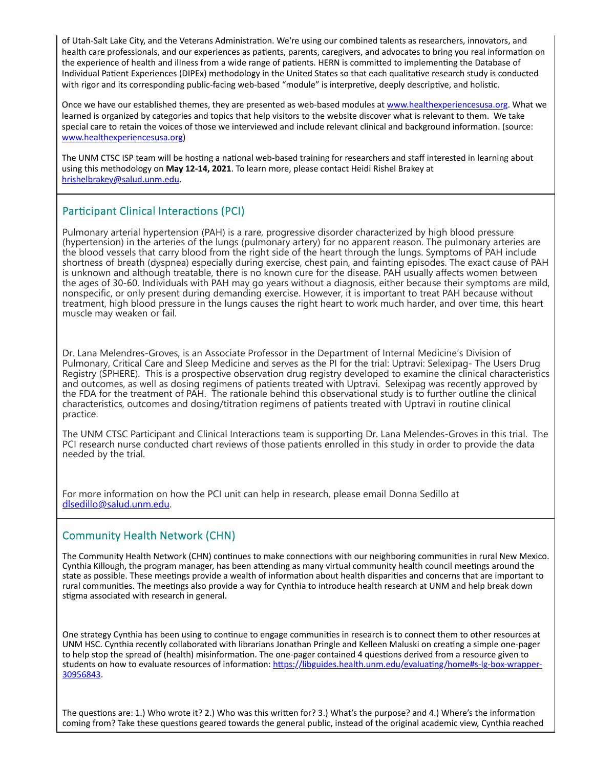of Utah-Salt Lake City, and the Veterans Administration. We're using our combined talents as researchers, innovators, and health care professionals, and our experiences as patients, parents, caregivers, and advocates to bring you real information on the experience of health and illness from a wide range of patients. HERN is committed to implementing the Database of Individual Patient Experiences (DIPEx) methodology in the United States so that each qualitative research study is conducted with rigor and its corresponding public-facing web-based "module" is interpretive, deeply descriptive, and holistic.

Once we have our established themes, they are presented as web-based modules at www.healthexperiencesusa.org. What we learned is organized by categories and topics that help visitors to the website discover what is relevant to them. We take special care to retain the voices of those we interviewed and include relevant clinical and background information. (source: www.healthexperiencesusa.org)

The UNM CTSC ISP team will be hosting a national web-based training for researchers and staff interested in learning about using this methodology on **May 12‐14, 2021**. To learn more, please contact Heidi Rishel Brakey at hrishelbrakey@salud.unm.edu.

## Participant Clinical Interactions (PCI)

Pulmonary arterial hypertension (PAH) is a rare, progressive disorder characterized by high blood pressure (hypertension) in the arteries of the lungs (pulmonary artery) for no apparent reason. The pulmonary arteries are the blood vessels that carry blood from the right side of the heart through the lungs. Symptoms of PAH include shortness of breath (dyspnea) especially during exercise, chest pain, and fainting episodes. The exact cause of PAH is unknown and although treatable, there is no known cure for the disease. PAH usually affects women between the ages of 30-60. Individuals with PAH may go years without a diagnosis, either because their symptoms are mild, nonspecific, or only present during demanding exercise. However, it is important to treat PAH because without treatment, high blood pressure in the lungs causes the right heart to work much harder, and over time, this heart muscle may weaken or fail.

Dr. Lana Melendres-Groves, is an Associate Professor in the Department of Internal Medicine's Division of Pulmonary, Critical Care and Sleep Medicine and serves as the PI for the trial: Uptravi: Selexipag- The Users Drug Registry (SPHERE). This is a prospective observation drug registry developed to examine the clinical characteristics and outcomes, as well as dosing regimens of patients treated with Uptravi. Selexipag was recently approved by the FDA for the treatment of PAH. The rationale behind this observational study is to further outline the clinical characteristics, outcomes and dosing/titration regimens of patients treated with Uptravi in routine clinical practice.

The UNM CTSC Participant and Clinical Interactions team is supporting Dr. Lana Melendes-Groves in this trial. The PCI research nurse conducted chart reviews of those patients enrolled in this study in order to provide the data needed by the trial.

For more information on how the PCI unit can help in research, please email Donna Sedillo at dlsedillo@salud.unm.edu.

### Community Health Network (CHN)

The Community Health Network (CHN) continues to make connections with our neighboring communities in rural New Mexico. Cynthia Killough, the program manager, has been attending as many virtual community health council meetings around the state as possible. These meetings provide a wealth of information about health disparities and concerns that are important to rural communities. The meetings also provide a way for Cynthia to introduce health research at UNM and help break down stigma associated with research in general.

One strategy Cynthia has been using to continue to engage communities in research is to connect them to other resources at UNM HSC. Cynthia recently collaborated with librarians Jonathan Pringle and Kelleen Maluski on creating a simple one-pager to help stop the spread of (health) misinformation. The one-pager contained 4 questions derived from a resource given to students on how to evaluate resources of information: https://libguides.health.unm.edu/evaluating/home#s-lg-box-wrapper-30956843.

The questions are: 1.) Who wrote it? 2.) Who was this written for? 3.) What's the purpose? and 4.) Where's the information coming from? Take these questions geared towards the general public, instead of the original academic view, Cynthia reached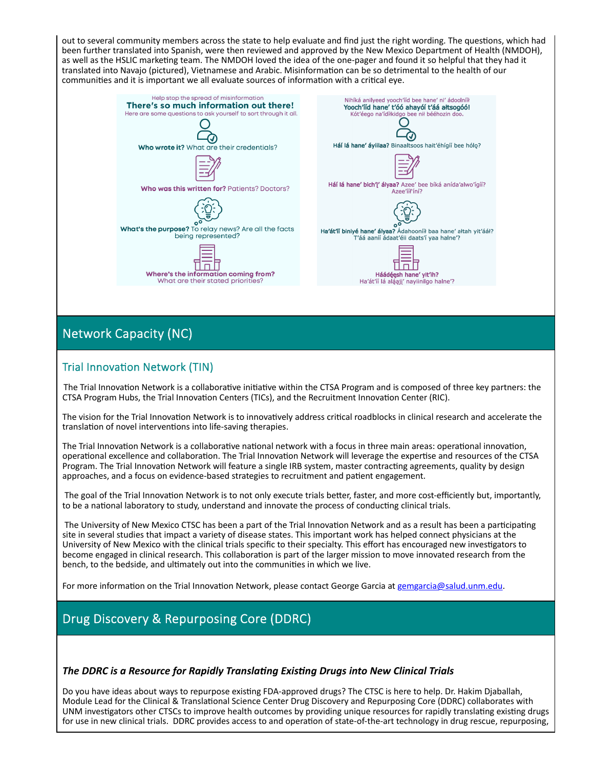out to several community members across the state to help evaluate and find just the right wording. The questions, which had been further translated into Spanish, were then reviewed and approved by the New Mexico Department of Health (NMDOH), as well as the HSLIC marketing team. The NMDOH loved the idea of the one-pager and found it so helpful that they had it translated into Navajo (pictured), Vietnamese and Arabic. Misinformation can be so detrimental to the health of our communities and it is important we all evaluate sources of information with a critical eye.



# Network Capacity (NC)

### Trial Innovation Network (TIN)

The Trial Innovation Network is a collaborative initiative within the CTSA Program and is composed of three key partners: the CTSA Program Hubs, the Trial Innovation Centers (TICs), and the Recruitment Innovation Center (RIC).

The vision for the Trial Innovation Network is to innovatively address critical roadblocks in clinical research and accelerate the translation of novel interventions into life-saving therapies.

The Trial Innovation Network is a collaborative national network with a focus in three main areas: operational innovation, operational excellence and collaboration. The Trial Innovation Network will leverage the expertise and resources of the CTSA Program. The Trial Innovation Network will feature a single IRB system, master contracting agreements, quality by design approaches, and a focus on evidence-based strategies to recruitment and patient engagement.

The goal of the Trial Innovation Network is to not only execute trials better, faster, and more cost-efficiently but, importantly, to be a national laboratory to study, understand and innovate the process of conducting clinical trials.

The University of New Mexico CTSC has been a part of the Trial Innovation Network and as a result has been a participating site in several studies that impact a variety of disease states. This important work has helped connect physicians at the University of New Mexico with the clinical trials specific to their specialty. This effort has encouraged new investigators to become engaged in clinical research. This collaboration is part of the larger mission to move innovated research from the bench, to the bedside, and ultimately out into the communities in which we live.

For more information on the Trial Innovation Network, please contact George Garcia at gemgarcia@salud.unm.edu.

# Drug Discovery & Repurposing Core (DDRC)

#### *The DDRC is a Resource for Rapidly TranslaƟng ExisƟng Drugs into New Clinical Trials*

Do you have ideas about ways to repurpose existing FDA-approved drugs? The CTSC is here to help. Dr. Hakim Djaballah, Module Lead for the Clinical & Translational Science Center Drug Discovery and Repurposing Core (DDRC) collaborates with UNM investigators other CTSCs to improve health outcomes by providing unique resources for rapidly translating existing drugs for use in new clinical trials. DDRC provides access to and operation of state-of-the-art technology in drug rescue, repurposing,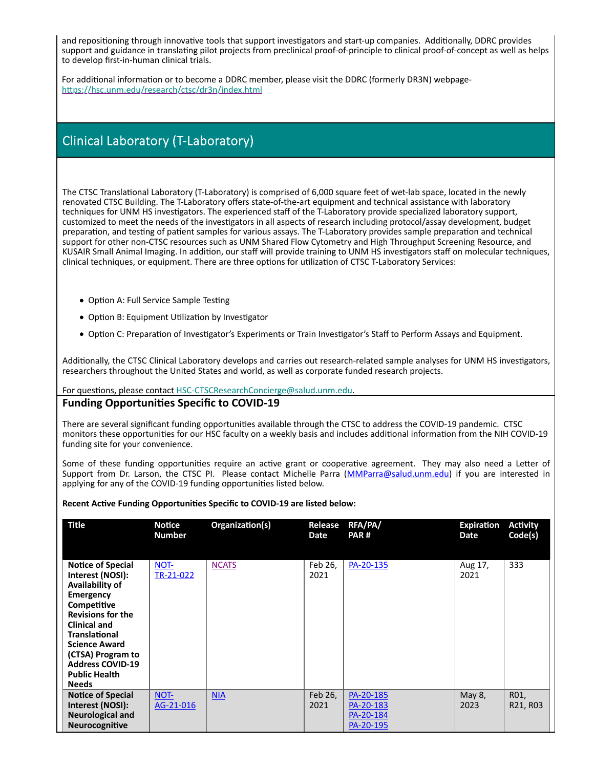and repositioning through innovative tools that support investigators and start-up companies. Additionally, DDRC provides support and guidance in translating pilot projects from preclinical proof-of-principle to clinical proof-of-concept as well as helps to develop first‐in‐human clinical trials.

For additional information or to become a DDRC member, please visit the DDRC (formerly DR3N) webpagehttps://hsc.unm.edu/research/ctsc/dr3n/index.html

## Clinical Laboratory (T‐Laboratory)

The CTSC Translational Laboratory (T-Laboratory) is comprised of 6,000 square feet of wet-lab space, located in the newly renovated CTSC Building. The T‐Laboratory offers state‐of‐the‐art equipment and technical assistance with laboratory techniques for UNM HS investigators. The experienced staff of the T-Laboratory provide specialized laboratory support, customized to meet the needs of the investigators in all aspects of research including protocol/assay development, budget preparation, and testing of patient samples for various assays. The T-Laboratory provides sample preparation and technical support for other non‐CTSC resources such as UNM Shared Flow Cytometry and High Throughput Screening Resource, and KUSAIR Small Animal Imaging. In addition, our staff will provide training to UNM HS investigators staff on molecular techniques, clinical techniques, or equipment. There are three options for utilization of CTSC T-Laboratory Services:

- Option A: Full Service Sample Testing
- Option B: Equipment Utilization by Investigator
- Option C: Preparation of Investigator's Experiments or Train Investigator's Staff to Perform Assays and Equipment.

Additionally, the CTSC Clinical Laboratory develops and carries out research-related sample analyses for UNM HS investigators, researchers throughout the United States and world, as well as corporate funded research projects.

For questions, please contact HSC-CTSCResearchConcierge@salud.unm.edu.

#### **Funding OpportuniƟes Specific to COVID‐19**

There are several significant funding opportunities available through the CTSC to address the COVID-19 pandemic. CTSC monitors these opportunities for our HSC faculty on a weekly basis and includes additional information from the NIH COVID-19 funding site for your convenience.

Some of these funding opportunities require an active grant or cooperative agreement. They may also need a Letter of Support from Dr. Larson, the CTSC PI. Please contact Michelle Parra (MMParra@salud.unm.edu) if you are interested in applying for any of the COVID-19 funding opportunities listed below.

**Recent AcƟve Funding OpportuniƟes Specific to COVID‐19 are listed below:**

| <b>Title</b>                                                                                                                                                                                                                                                                                  | <b>Notice</b><br><b>Number</b> | Organization(s) | Release<br>Date | RFA/PA/<br>PAR#                                  | <b>Expiration</b><br>Date | <b>Activity</b><br>Code(s) |
|-----------------------------------------------------------------------------------------------------------------------------------------------------------------------------------------------------------------------------------------------------------------------------------------------|--------------------------------|-----------------|-----------------|--------------------------------------------------|---------------------------|----------------------------|
| <b>Notice of Special</b><br>Interest (NOSI):<br>Availability of<br><b>Emergency</b><br>Competitive<br><b>Revisions for the</b><br><b>Clinical and</b><br><b>Translational</b><br><b>Science Award</b><br>(CTSA) Program to<br><b>Address COVID-19</b><br><b>Public Health</b><br><b>Needs</b> | NOT-<br>TR-21-022              | <b>NCATS</b>    | Feb 26,<br>2021 | PA-20-135                                        | Aug 17,<br>2021           | 333                        |
| <b>Notice of Special</b><br>Interest (NOSI):<br><b>Neurological and</b><br>Neurocognitive                                                                                                                                                                                                     | NOT-<br>AG-21-016              | <b>NIA</b>      | Feb 26,<br>2021 | PA-20-185<br>PA-20-183<br>PA-20-184<br>PA-20-195 | May 8,<br>2023            | R01,<br>R21, R03           |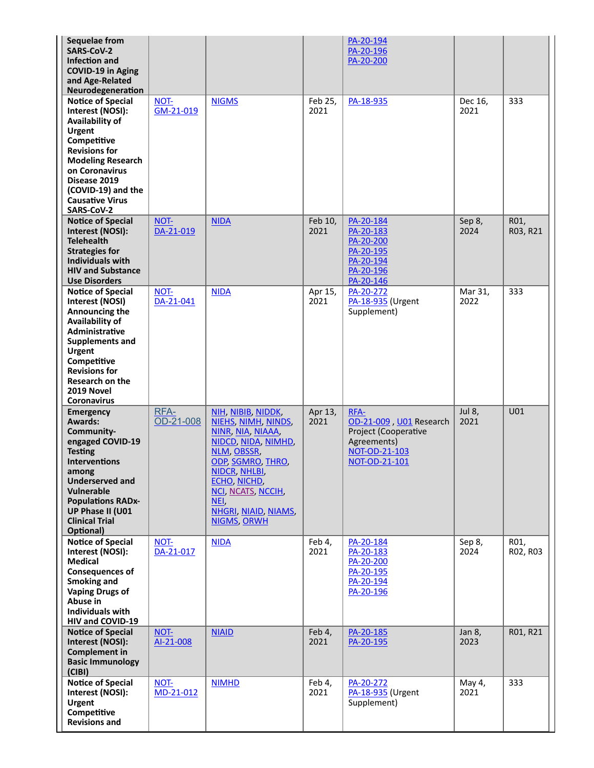| Sequelae from<br>SARS-CoV-2<br><b>Infection and</b><br><b>COVID-19 in Aging</b><br>and Age-Related<br>Neurodegeneration                                                                                                                                      |                   |                                                                                                                                                                                                                                        |                 | PA-20-194<br>PA-20-196<br>PA-20-200                                                                      |                 |                  |
|--------------------------------------------------------------------------------------------------------------------------------------------------------------------------------------------------------------------------------------------------------------|-------------------|----------------------------------------------------------------------------------------------------------------------------------------------------------------------------------------------------------------------------------------|-----------------|----------------------------------------------------------------------------------------------------------|-----------------|------------------|
| <b>Notice of Special</b><br>Interest (NOSI):<br>Availability of<br><b>Urgent</b><br>Competitive<br><b>Revisions for</b><br><b>Modeling Research</b><br>on Coronavirus<br>Disease 2019<br>(COVID-19) and the<br><b>Causative Virus</b><br>SARS-CoV-2          | NOT-<br>GM-21-019 | <b>NIGMS</b>                                                                                                                                                                                                                           | Feb 25,<br>2021 | PA-18-935                                                                                                | Dec 16,<br>2021 | 333              |
| <b>Notice of Special</b><br>Interest (NOSI):<br><b>Telehealth</b><br><b>Strategies for</b><br><b>Individuals with</b><br><b>HIV and Substance</b><br><b>Use Disorders</b>                                                                                    | NOT-<br>DA-21-019 | <b>NIDA</b>                                                                                                                                                                                                                            | Feb 10,<br>2021 | PA-20-184<br>PA-20-183<br>PA-20-200<br>PA-20-195<br>PA-20-194<br>PA-20-196<br>PA-20-146                  | Sep 8,<br>2024  | R01,<br>R03, R21 |
| <b>Notice of Special</b><br>Interest (NOSI)<br>Announcing the<br>Availability of<br>Administrative<br><b>Supplements and</b><br><b>Urgent</b><br>Competitive<br><b>Revisions for</b><br><b>Research on the</b><br>2019 Novel<br>Coronavirus                  | NOT-<br>DA-21-041 | <b>NIDA</b>                                                                                                                                                                                                                            | Apr 15,<br>2021 | PA-20-272<br>PA-18-935 (Urgent<br>Supplement)                                                            | Mar 31,<br>2022 | 333              |
| <b>Emergency</b><br><b>Awards:</b><br>Community-<br>engaged COVID-19<br><b>Testing</b><br><b>Interventions</b><br>among<br><b>Underserved and</b><br><b>Vulnerable</b><br><b>Populations RADx-</b><br>UP Phase II (U01<br><b>Clinical Trial</b><br>Optional) | RFA-<br>OD-21-008 | NIH, NIBIB, NIDDK,<br>NIEHS, NIMH, NINDS,<br>NINR, NIA, NIAAA,<br>NIDCD, NIDA, NIMHD,<br>NLM, OBSSR,<br>ODP, SGMRO, THRO,<br>NIDCR, NHLBI,<br>ECHO, NICHD,<br>NCI, NCATS, NCCIH,<br>NEI,<br>NHGRI, NIAID, NIAMS,<br><b>NIGMS, ORWH</b> | Apr 13,<br>2021 | RFA-<br>OD-21-009, U01 Research<br>Project (Cooperative<br>Agreements)<br>NOT-OD-21-103<br>NOT-OD-21-101 | Jul 8,<br>2021  | U01              |
| <b>Notice of Special</b><br>Interest (NOSI):<br><b>Medical</b><br><b>Consequences of</b><br>Smoking and<br><b>Vaping Drugs of</b><br>Abuse in<br><b>Individuals with</b><br>HIV and COVID-19                                                                 | NOT-<br>DA-21-017 | <b>NIDA</b>                                                                                                                                                                                                                            | Feb 4,<br>2021  | PA-20-184<br>PA-20-183<br>PA-20-200<br>PA-20-195<br>PA-20-194<br>PA-20-196                               | Sep 8,<br>2024  | R01,<br>R02, R03 |
| <b>Notice of Special</b><br>Interest (NOSI):<br><b>Complement in</b><br><b>Basic Immunology</b><br>(CIBI)                                                                                                                                                    | NOT-<br>AI-21-008 | <b>NIAID</b>                                                                                                                                                                                                                           | Feb 4,<br>2021  | PA-20-185<br>PA-20-195                                                                                   | Jan 8,<br>2023  | R01, R21         |
| <b>Notice of Special</b><br>Interest (NOSI):<br><b>Urgent</b><br>Competitive<br><b>Revisions and</b>                                                                                                                                                         | NOT-<br>MD-21-012 | <b>NIMHD</b>                                                                                                                                                                                                                           | Feb 4,<br>2021  | PA-20-272<br>PA-18-935 (Urgent<br>Supplement)                                                            | May 4,<br>2021  | 333              |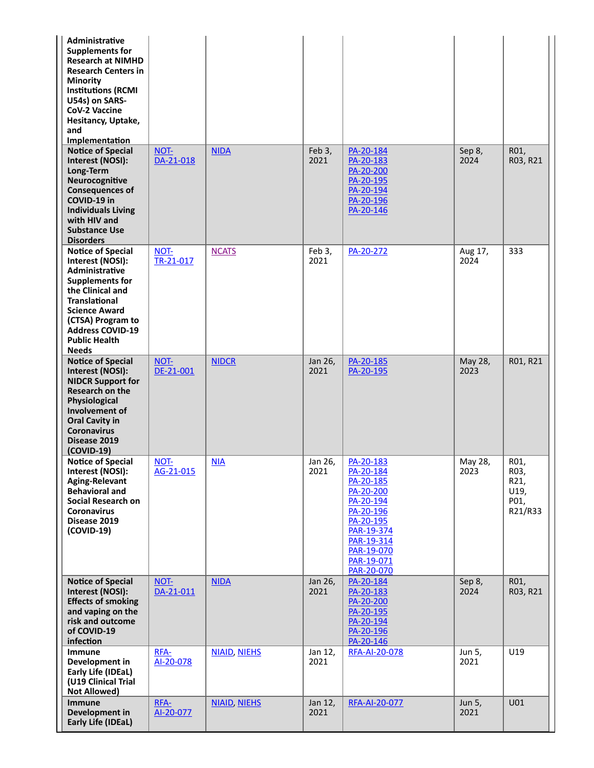| Administrative<br><b>Supplements for</b><br><b>Research at NIMHD</b><br><b>Research Centers in</b><br><b>Minority</b><br><b>Institutions (RCMI</b><br>U54s) on SARS-<br><b>CoV-2 Vaccine</b><br>Hesitancy, Uptake,<br>and<br>Implementation          |                   |                     |                 |                                                                                                                                                               |                 |                                                 |
|------------------------------------------------------------------------------------------------------------------------------------------------------------------------------------------------------------------------------------------------------|-------------------|---------------------|-----------------|---------------------------------------------------------------------------------------------------------------------------------------------------------------|-----------------|-------------------------------------------------|
| <b>Notice of Special</b><br>Interest (NOSI):<br>Long-Term<br>Neurocognitive<br><b>Consequences of</b><br>COVID-19 in<br><b>Individuals Living</b><br>with HIV and<br><b>Substance Use</b><br><b>Disorders</b>                                        | NOT-<br>DA-21-018 | <b>NIDA</b>         | Feb 3,<br>2021  | PA-20-184<br>PA-20-183<br>PA-20-200<br>PA-20-195<br>PA-20-194<br>PA-20-196<br>PA-20-146                                                                       | Sep 8,<br>2024  | R01,<br>R03, R21                                |
| <b>Notice of Special</b><br>Interest (NOSI):<br>Administrative<br><b>Supplements for</b><br>the Clinical and<br><b>Translational</b><br><b>Science Award</b><br>(CTSA) Program to<br><b>Address COVID-19</b><br><b>Public Health</b><br><b>Needs</b> | NOT-<br>TR-21-017 | <b>NCATS</b>        | Feb 3,<br>2021  | PA-20-272                                                                                                                                                     | Aug 17,<br>2024 | 333                                             |
| <b>Notice of Special</b><br>Interest (NOSI):<br><b>NIDCR Support for</b><br><b>Research on the</b><br>Physiological<br>Involvement of<br><b>Oral Cavity in</b><br><b>Coronavirus</b><br>Disease 2019<br>$(COVID-19)$                                 | NOT-<br>DE-21-001 | <b>NIDCR</b>        | Jan 26,<br>2021 | PA-20-185<br>PA-20-195                                                                                                                                        | May 28,<br>2023 | R01, R21                                        |
| <b>Notice of Special</b><br>Interest (NOSI):<br><b>Aging-Relevant</b><br><b>Behavioral and</b><br>Social Research on<br><b>Coronavirus</b><br>Disease 2019<br>$(COVID-19)$                                                                           | NOT-<br>AG-21-015 | NIA                 | Jan 26,<br>2021 | PA-20-183<br>PA-20-184<br>PA-20-185<br>PA-20-200<br>PA-20-194<br>PA-20-196<br>PA-20-195<br>PAR-19-374<br>PAR-19-314<br>PAR-19-070<br>PAR-19-071<br>PAR-20-070 | May 28,<br>2023 | R01,<br>RO3,<br>R21,<br>U19,<br>P01,<br>R21/R33 |
| <b>Notice of Special</b><br>Interest (NOSI):<br><b>Effects of smoking</b><br>and vaping on the<br>risk and outcome<br>of COVID-19<br>infection                                                                                                       | NOT-<br>DA-21-011 | <b>NIDA</b>         | Jan 26,<br>2021 | PA-20-184<br>PA-20-183<br>PA-20-200<br>PA-20-195<br>PA-20-194<br>PA-20-196<br>PA-20-146                                                                       | Sep 8,<br>2024  | R01,<br>R03, R21                                |
| Immune<br>Development in<br>Early Life (IDEaL)<br>(U19 Clinical Trial<br><b>Not Allowed)</b>                                                                                                                                                         | RFA-<br>AI-20-078 | <b>NIAID, NIEHS</b> | Jan 12,<br>2021 | RFA-AI-20-078                                                                                                                                                 | Jun 5,<br>2021  | U19                                             |
| <b>Immune</b><br>Development in<br><b>Early Life (IDEaL)</b>                                                                                                                                                                                         | RFA-<br>Al-20-077 | <b>NIAID, NIEHS</b> | Jan 12,<br>2021 | RFA-AI-20-077                                                                                                                                                 | Jun 5,<br>2021  | U01                                             |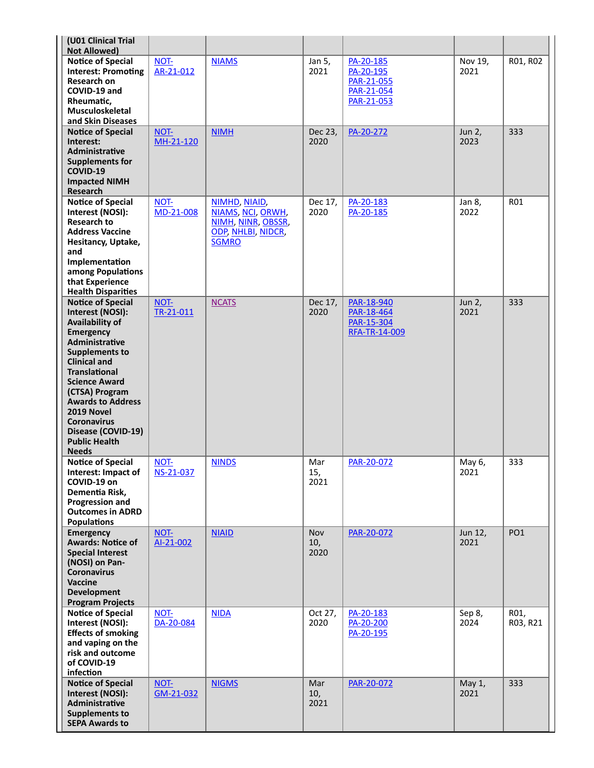| (U01 Clinical Trial<br><b>Not Allowed)</b>                         |                   |                                                          |                    |                                        |                 |                  |
|--------------------------------------------------------------------|-------------------|----------------------------------------------------------|--------------------|----------------------------------------|-----------------|------------------|
| <b>Notice of Special</b><br><b>Interest: Promoting</b>             | NOT-<br>AR-21-012 | <b>NIAMS</b>                                             | Jan 5,<br>2021     | PA-20-185<br>PA-20-195                 | Nov 19,<br>2021 | R01, R02         |
| Research on<br>COVID-19 and                                        |                   |                                                          |                    | PAR-21-055<br>PAR-21-054               |                 |                  |
| Rheumatic,<br>Musculoskeletal                                      |                   |                                                          |                    | PAR-21-053                             |                 |                  |
| and Skin Diseases<br><b>Notice of Special</b>                      | NOT-              | <b>NIMH</b>                                              | Dec 23,            | PA-20-272                              | Jun 2,          | 333              |
| Interest:<br>Administrative<br><b>Supplements for</b>              | MH-21-120         |                                                          | 2020               |                                        | 2023            |                  |
| COVID-19<br><b>Impacted NIMH</b>                                   |                   |                                                          |                    |                                        |                 |                  |
| Research                                                           |                   |                                                          |                    |                                        |                 |                  |
| <b>Notice of Special</b><br>Interest (NOSI):<br><b>Research to</b> | NOT-<br>MD-21-008 | NIMHD, NIAID,<br>NIAMS, NCI, ORWH,                       | Dec 17,<br>2020    | PA-20-183<br>PA-20-185                 | Jan 8,<br>2022  | <b>RO1</b>       |
| <b>Address Vaccine</b><br>Hesitancy, Uptake,                       |                   | NIMH, NINR, OBSSR,<br>ODP, NHLBI, NIDCR,<br><b>SGMRO</b> |                    |                                        |                 |                  |
| and<br>Implementation                                              |                   |                                                          |                    |                                        |                 |                  |
| among Populations<br>that Experience                               |                   |                                                          |                    |                                        |                 |                  |
| <b>Health Disparities</b>                                          |                   |                                                          |                    |                                        |                 |                  |
| <b>Notice of Special</b><br>Interest (NOSI):<br>Availability of    | NOT-<br>TR-21-011 | <b>NCATS</b>                                             | Dec 17,<br>2020    | PAR-18-940<br>PAR-18-464<br>PAR-15-304 | Jun 2,<br>2021  | 333              |
| <b>Emergency</b><br>Administrative                                 |                   |                                                          |                    | RFA-TR-14-009                          |                 |                  |
| <b>Supplements to</b><br><b>Clinical and</b>                       |                   |                                                          |                    |                                        |                 |                  |
| <b>Translational</b><br><b>Science Award</b>                       |                   |                                                          |                    |                                        |                 |                  |
| (CTSA) Program<br><b>Awards to Address</b>                         |                   |                                                          |                    |                                        |                 |                  |
| 2019 Novel<br><b>Coronavirus</b>                                   |                   |                                                          |                    |                                        |                 |                  |
| Disease (COVID-19)<br><b>Public Health</b>                         |                   |                                                          |                    |                                        |                 |                  |
| <b>Needs</b>                                                       |                   |                                                          |                    |                                        |                 |                  |
| <b>Notice of Special</b><br>Interest: Impact of<br>COVID-19 on     | NOT-<br>NS-21-037 | <b>NINDS</b>                                             | Mar<br>15,<br>2021 | PAR-20-072                             | May 6,<br>2021  | 333              |
| Dementia Risk,<br><b>Progression and</b>                           |                   |                                                          |                    |                                        |                 |                  |
| <b>Outcomes in ADRD</b><br><b>Populations</b>                      |                   |                                                          |                    |                                        |                 |                  |
| <b>Emergency</b><br><b>Awards: Notice of</b>                       | NOT-<br>AI-21-002 | <b>NIAID</b>                                             | Nov<br>10,         | PAR-20-072                             | Jun 12,<br>2021 | PO <sub>1</sub>  |
| <b>Special Interest</b><br>(NOSI) on Pan-                          |                   |                                                          | 2020               |                                        |                 |                  |
| <b>Coronavirus</b><br><b>Vaccine</b>                               |                   |                                                          |                    |                                        |                 |                  |
| <b>Development</b><br><b>Program Projects</b>                      |                   |                                                          |                    |                                        |                 |                  |
| <b>Notice of Special</b><br>Interest (NOSI):                       | NOT-<br>DA-20-084 | <b>NIDA</b>                                              | Oct 27,<br>2020    | PA-20-183<br>PA-20-200                 | Sep 8,<br>2024  | R01,<br>R03, R21 |
| <b>Effects of smoking</b><br>and vaping on the                     |                   |                                                          |                    | PA-20-195                              |                 |                  |
| risk and outcome<br>of COVID-19<br>infection                       |                   |                                                          |                    |                                        |                 |                  |
| <b>Notice of Special</b><br>Interest (NOSI):                       | NOT-<br>GM-21-032 | <b>NIGMS</b>                                             | Mar<br>10,         | PAR-20-072                             | May 1,<br>2021  | 333              |
| Administrative<br><b>Supplements to</b>                            |                   |                                                          | 2021               |                                        |                 |                  |
| <b>SEPA Awards to</b>                                              |                   |                                                          |                    |                                        |                 |                  |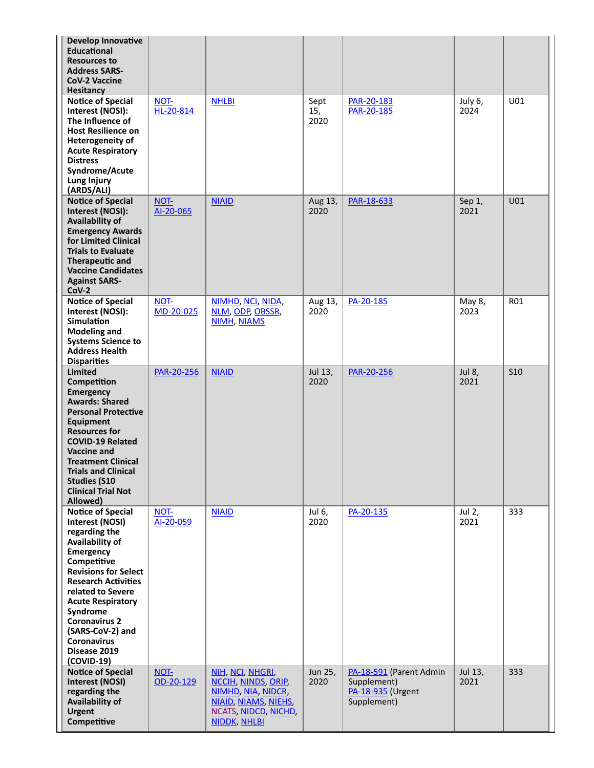| <b>Develop Innovative</b><br><b>Educational</b><br><b>Resources to</b><br><b>Address SARS-</b><br><b>CoV-2 Vaccine</b><br><b>Hesitancy</b>                                                                                                                                                                                              |                   |                                                                                                                                     |                     |                                                                            |                 |                 |
|-----------------------------------------------------------------------------------------------------------------------------------------------------------------------------------------------------------------------------------------------------------------------------------------------------------------------------------------|-------------------|-------------------------------------------------------------------------------------------------------------------------------------|---------------------|----------------------------------------------------------------------------|-----------------|-----------------|
| <b>Notice of Special</b><br>Interest (NOSI):<br>The Influence of<br><b>Host Resilience on</b><br><b>Heterogeneity of</b><br><b>Acute Respiratory</b><br><b>Distress</b><br>Syndrome/Acute<br>Lung Injury<br>(ARDS/ALI)                                                                                                                  | NOT-<br>HL-20-814 | <b>NHLBI</b>                                                                                                                        | Sept<br>15,<br>2020 | PAR-20-183<br>PAR-20-185                                                   | July 6,<br>2024 | U01             |
| <b>Notice of Special</b><br>Interest (NOSI):<br>Availability of<br><b>Emergency Awards</b><br>for Limited Clinical<br><b>Trials to Evaluate</b><br><b>Therapeutic and</b><br><b>Vaccine Candidates</b><br><b>Against SARS-</b><br>$CoV-2$                                                                                               | NOT-<br>AI-20-065 | <b>NIAID</b>                                                                                                                        | Aug 13,<br>2020     | PAR-18-633                                                                 | Sep 1,<br>2021  | U01             |
| <b>Notice of Special</b><br>Interest (NOSI):<br><b>Simulation</b><br><b>Modeling and</b><br><b>Systems Science to</b><br><b>Address Health</b><br><b>Disparities</b>                                                                                                                                                                    | NOT-<br>MD-20-025 | NIMHD, NCI, NIDA,<br>NLM, ODP, OBSSR,<br><b>NIMH, NIAMS</b>                                                                         | Aug 13,<br>2020     | PA-20-185                                                                  | May 8,<br>2023  | R01             |
| <b>Limited</b><br>Competition<br><b>Emergency</b><br><b>Awards: Shared</b><br><b>Personal Protective</b><br>Equipment<br><b>Resources for</b><br><b>COVID-19 Related</b><br>Vaccine and<br><b>Treatment Clinical</b><br><b>Trials and Clinical</b><br><b>Studies (S10</b><br><b>Clinical Trial Not</b><br>Allowed)                      | PAR-20-256        | <b>NIAID</b>                                                                                                                        | Jul 13,<br>2020     | PAR-20-256                                                                 | Jul 8,<br>2021  | S <sub>10</sub> |
| <b>Notice of Special</b><br>Interest (NOSI)<br>regarding the<br>Availability of<br>Emergency<br>Competitive<br><b>Revisions for Select</b><br><b>Research Activities</b><br>related to Severe<br><b>Acute Respiratory</b><br>Syndrome<br><b>Coronavirus 2</b><br>(SARS-CoV-2) and<br><b>Coronavirus</b><br>Disease 2019<br>$(COVID-19)$ | NOT-<br>AI-20-059 | <b>NIAID</b>                                                                                                                        | Jul 6,<br>2020      | PA-20-135                                                                  | Jul 2,<br>2021  | 333             |
| <b>Notice of Special</b><br><b>Interest (NOSI)</b><br>regarding the<br>Availability of<br><b>Urgent</b><br>Competitive                                                                                                                                                                                                                  | NOT-<br>OD-20-129 | NIH, NCI, NHGRI,<br>NCCIH, NINDS, ORIP<br>NIMHD, NIA, NIDCR,<br>NIAID, NIAMS, NIEHS,<br>NCATS, NIDCD, NICHD,<br><b>NIDDK, NHLBI</b> | Jun 25,<br>2020     | PA-18-591 (Parent Admin<br>Supplement)<br>PA-18-935 (Urgent<br>Supplement) | Jul 13,<br>2021 | 333             |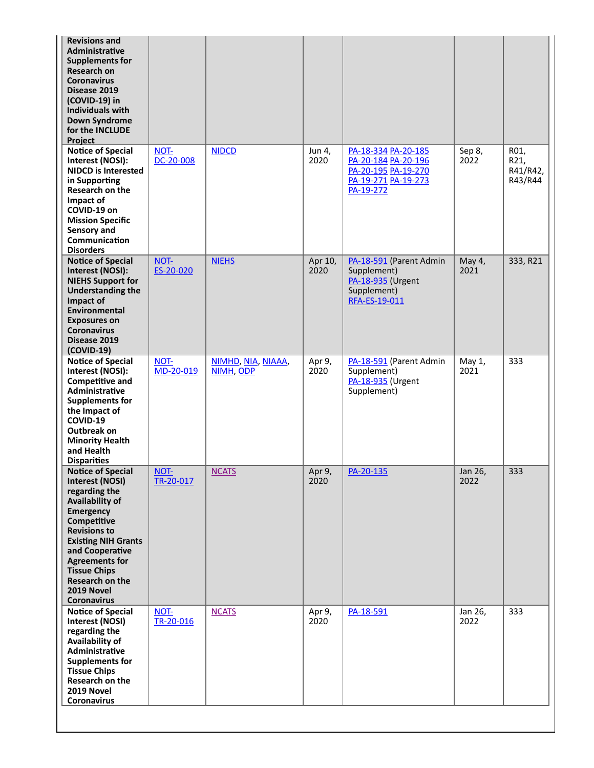| <b>Revisions and</b><br><b>Administrative</b><br><b>Supplements for</b><br><b>Research on</b><br><b>Coronavirus</b><br>Disease 2019<br>(COVID-19) in<br><b>Individuals with</b><br><b>Down Syndrome</b><br>for the INCLUDE<br>Project                                                             |                          |                                 |                 |                                                                                                       |                 |                                     |
|---------------------------------------------------------------------------------------------------------------------------------------------------------------------------------------------------------------------------------------------------------------------------------------------------|--------------------------|---------------------------------|-----------------|-------------------------------------------------------------------------------------------------------|-----------------|-------------------------------------|
| <b>Notice of Special</b><br>Interest (NOSI):<br><b>NIDCD is Interested</b><br>in Supporting<br>Research on the<br>Impact of<br>COVID-19 on<br><b>Mission Specific</b><br>Sensory and<br>Communication<br><b>Disorders</b>                                                                         | NOT-<br>DC-20-008        | <b>NIDCD</b>                    | Jun 4,<br>2020  | PA-18-334 PA-20-185<br>PA-20-184 PA-20-196<br>PA-20-195 PA-19-270<br>PA-19-271 PA-19-273<br>PA-19-272 | Sep 8,<br>2022  | R01,<br>R21,<br>R41/R42,<br>R43/R44 |
| <b>Notice of Special</b><br>Interest (NOSI):<br><b>NIEHS Support for</b><br><b>Understanding the</b><br>Impact of<br>Environmental<br><b>Exposures on</b><br><b>Coronavirus</b><br>Disease 2019<br>$(COVID-19)$                                                                                   | NOT-<br>ES-20-020        | <b>NIEHS</b>                    | Apr 10,<br>2020 | PA-18-591 (Parent Admin<br>Supplement)<br>PA-18-935 (Urgent<br>Supplement)<br>RFA-ES-19-011           | May 4,<br>2021  | 333, R21                            |
| <b>Notice of Special</b><br>Interest (NOSI):<br><b>Competitive and</b><br>Administrative<br><b>Supplements for</b><br>the Impact of<br>COVID-19<br>Outbreak on<br><b>Minority Health</b><br>and Health<br><b>Disparities</b>                                                                      | NOT-<br>MD-20-019        | NIMHD, NIA, NIAAA,<br>NIMH, ODP | Apr 9,<br>2020  | PA-18-591 (Parent Admin<br>Supplement)<br>PA-18-935 (Urgent<br>Supplement)                            | May 1,<br>2021  | 333                                 |
| <b>Notice of Special</b><br><b>Interest (NOSI)</b><br>regarding the<br>Availability of<br>Emergency<br>Competitive<br><b>Revisions to</b><br><b>Existing NIH Grants</b><br>and Cooperative<br><b>Agreements for</b><br><b>Tissue Chips</b><br>Research on the<br>2019 Novel<br><b>Coronavirus</b> | <b>NOT-</b><br>TR-20-017 | <b>NCATS</b>                    | Apr 9,<br>2020  | PA-20-135                                                                                             | Jan 26,<br>2022 | $\overline{333}$                    |
| <b>Notice of Special</b><br>Interest (NOSI)<br>regarding the<br>Availability of<br>Administrative<br><b>Supplements for</b><br><b>Tissue Chips</b><br>Research on the<br>2019 Novel<br><b>Coronavirus</b>                                                                                         | NOT-<br>TR-20-016        | <b>NCATS</b>                    | Apr 9,<br>2020  | PA-18-591                                                                                             | Jan 26,<br>2022 | 333                                 |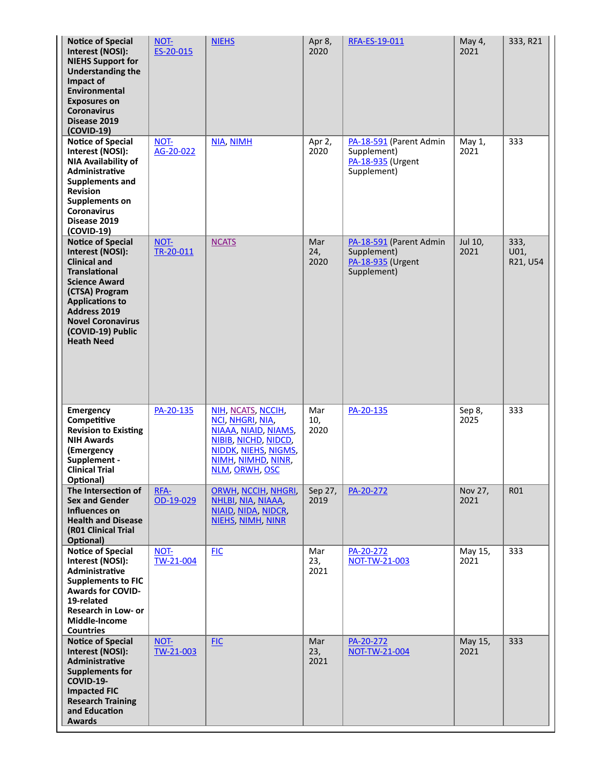| <b>Notice of Special</b><br>Interest (NOSI):<br><b>NIEHS Support for</b><br><b>Understanding the</b><br>Impact of<br>Environmental<br><b>Exposures on</b><br><b>Coronavirus</b><br>Disease 2019<br>$(COVID-19)$                                              | NOT-<br>ES-20-015 | <b>NIEHS</b>                                                                                                                                           | Apr 8,<br>2020     | RFA-ES-19-011                                                              | May 4,<br>2021  | 333, R21                 |
|--------------------------------------------------------------------------------------------------------------------------------------------------------------------------------------------------------------------------------------------------------------|-------------------|--------------------------------------------------------------------------------------------------------------------------------------------------------|--------------------|----------------------------------------------------------------------------|-----------------|--------------------------|
| <b>Notice of Special</b><br>Interest (NOSI):<br><b>NIA Availability of</b><br>Administrative<br>Supplements and<br><b>Revision</b><br>Supplements on<br><b>Coronavirus</b><br>Disease 2019<br>(COVID-19)                                                     | NOT-<br>AG-20-022 | NIA, NIMH                                                                                                                                              | Apr 2,<br>2020     | PA-18-591 (Parent Admin<br>Supplement)<br>PA-18-935 (Urgent<br>Supplement) | May 1,<br>2021  | 333                      |
| <b>Notice of Special</b><br>Interest (NOSI):<br><b>Clinical and</b><br><b>Translational</b><br><b>Science Award</b><br>(CTSA) Program<br><b>Applications to</b><br><b>Address 2019</b><br><b>Novel Coronavirus</b><br>(COVID-19) Public<br><b>Heath Need</b> | NOT-<br>TR-20-011 | <b>NCATS</b>                                                                                                                                           | Mar<br>24,<br>2020 | PA-18-591 (Parent Admin<br>Supplement)<br>PA-18-935 (Urgent<br>Supplement) | Jul 10,<br>2021 | 333,<br>U01,<br>R21, U54 |
| Emergency<br>Competitive<br><b>Revision to Existing</b><br><b>NIH Awards</b><br>(Emergency<br>Supplement -<br><b>Clinical Trial</b><br>Optional)                                                                                                             | PA-20-135         | NIH, NCATS, NCCIH,<br>NCI, NHGRI, NIA,<br>NIAAA, NIAID, NIAMS,<br>NIBIB, NICHD, NIDCD,<br>NIDDK, NIEHS, NIGMS,<br>NIMH, NIMHD, NINR,<br>NLM, ORWH, OSC | Mar<br>10,<br>2020 | PA-20-135                                                                  | Sep 8,<br>2025  | 333                      |
| The Intersection of<br><b>Sex and Gender</b><br>Influences on<br><b>Health and Disease</b><br>(R01 Clinical Trial<br>Optional)                                                                                                                               | RFA-<br>OD-19-029 | <b>ORWH, NCCIH, NHGRI,</b><br>NHLBI, NIA, NIAAA,<br>NIAID, NIDA, NIDCR,<br>NIEHS, NIMH, NINR                                                           | Sep 27,<br>2019    | PA-20-272                                                                  | Nov 27,<br>2021 | R01                      |
| <b>Notice of Special</b><br>Interest (NOSI):<br>Administrative<br><b>Supplements to FIC</b><br><b>Awards for COVID-</b><br>19-related<br>Research in Low- or<br>Middle-Income<br><b>Countries</b>                                                            | NOT-<br>TW-21-004 | <b>FIC</b>                                                                                                                                             | Mar<br>23,<br>2021 | PA-20-272<br>NOT-TW-21-003                                                 | May 15,<br>2021 | 333                      |
| <b>Notice of Special</b><br>Interest (NOSI):<br>Administrative<br><b>Supplements for</b><br><b>COVID-19-</b><br><b>Impacted FIC</b><br><b>Research Training</b><br>and Education<br><b>Awards</b>                                                            | NOT-<br>TW-21-003 | <b>FIC</b>                                                                                                                                             | Mar<br>23,<br>2021 | PA-20-272<br>NOT-TW-21-004                                                 | May 15,<br>2021 | 333                      |